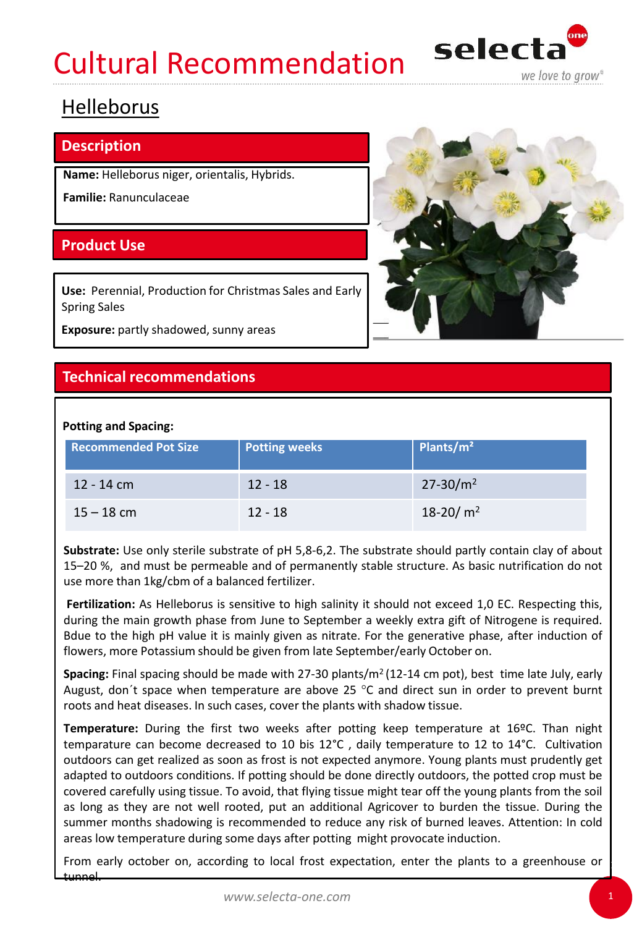# Cultural Recommendation



## Helleborus

#### **Description**

**Name:** Helleborus niger, orientalis, Hybrids.

**Familie:** Ranunculaceae

### **Product Use**

**Use:** Perennial, Production for Christmas Sales and Early Spring Sales

**Exposure:** partly shadowed, sunny areas

### **Technical recommendations**

#### **Potting and Spacing:**

| <b>Recommended Pot Size</b> | <b>Potting weeks</b> | Plants/m <sup>2</sup> |
|-----------------------------|----------------------|-----------------------|
| 12 - 14 cm                  | $12 - 18$            | $27 - 30/m^2$         |
| $15 - 18$ cm                | $12 - 18$            | 18-20/ $m2$           |

**Substrate:** Use only sterile substrate of pH 5,8-6,2. The substrate should partly contain clay of about 15–20 %, and must be permeable and of permanently stable structure. As basic nutrification do not use more than 1kg/cbm of a balanced fertilizer.

**Fertilization:** As Helleborus is sensitive to high salinity it should not exceed 1,0 EC. Respecting this, during the main growth phase from June to September a weekly extra gift of Nitrogene is required. Bdue to the high pH value it is mainly given as nitrate. For the generative phase, after induction of flowers, more Potassium should be given from late September/early October on.

Spacing: Final spacing should be made with 27-30 plants/m<sup>2</sup> (12-14 cm pot), best time late July, early August, don't space when temperature are above 25  $^{\circ}$ C and direct sun in order to prevent burnt roots and heat diseases. In such cases, cover the plants with shadow tissue.

**Temperature:** During the first two weeks after potting keep temperature at 16ºC. Than night temparature can become decreased to 10 bis 12°C , daily temperature to 12 to 14°C. Cultivation outdoors can get realized as soon as frost is not expected anymore. Young plants must prudently get adapted to outdoors conditions. If potting should be done directly outdoors, the potted crop must be covered carefully using tissue. To avoid, that flying tissue might tear off the young plants from the soil as long as they are not well rooted, put an additional Agricover to burden the tissue. During the summer months shadowing is recommended to reduce any risk of burned leaves. Attention: In cold areas low temperature during some days after potting might provocate induction.

From early october on, according to local frost expectation, enter the plants to a greenhouse or tunnel.

1